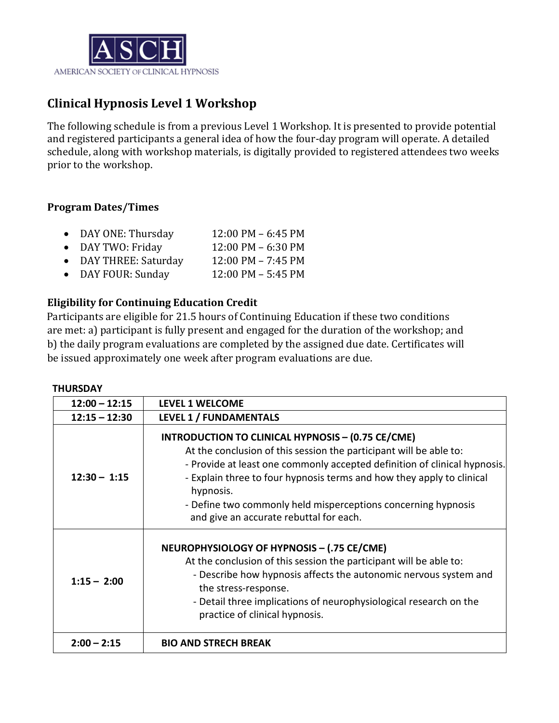

# **Clinical Hypnosis Level 1 Workshop**

The following schedule is from a previous Level 1 Workshop. It is presented to provide potential and registered participants a general idea of how the four-day program will operate. A detailed schedule, along with workshop materials, is digitally provided to registered attendees two weeks prior to the workshop.

## **Program Dates/Times**

- DAY ONE: Thursday 12:00 PM 6:45 PM<br>• DAY TWO: Fridav 12:00 PM 6:30 PM
- DAY TWO: Friday 12:00 PM 6:30 PM<br>• DAY THREE: Saturday 12:00 PM 7:45 PM
- 
- DAY THREE: Saturday 12:00 PM 7:45 PM • DAY FOUR: Sunday

## **Eligibility for Continuing Education Credit**

Participants are eligible for 21.5 hours of Continuing Education if these two conditions are met: a) participant is fully present and engaged for the duration of the workshop; and b) the daily program evaluations are completed by the assigned due date. Certificates will be issued approximately one week after program evaluations are due.

#### **THURSDAY**

| $12:00 - 12:15$ | LEVEL 1 WELCOME                                                                                                                                                                                                                                                                                                                                                                                               |
|-----------------|---------------------------------------------------------------------------------------------------------------------------------------------------------------------------------------------------------------------------------------------------------------------------------------------------------------------------------------------------------------------------------------------------------------|
| $12:15 - 12:30$ | LEVEL 1 / FUNDAMENTALS                                                                                                                                                                                                                                                                                                                                                                                        |
| $12:30 - 1:15$  | <b>INTRODUCTION TO CLINICAL HYPNOSIS - (0.75 CE/CME)</b><br>At the conclusion of this session the participant will be able to:<br>- Provide at least one commonly accepted definition of clinical hypnosis.<br>- Explain three to four hypnosis terms and how they apply to clinical<br>hypnosis.<br>- Define two commonly held misperceptions concerning hypnosis<br>and give an accurate rebuttal for each. |
| $1:15 - 2:00$   | NEUROPHYSIOLOGY OF HYPNOSIS - (.75 CE/CME)<br>At the conclusion of this session the participant will be able to:<br>- Describe how hypnosis affects the autonomic nervous system and<br>the stress-response.<br>- Detail three implications of neurophysiological research on the<br>practice of clinical hypnosis.                                                                                           |
| $2:00 - 2:15$   | <b>BIO AND STRECH BREAK</b>                                                                                                                                                                                                                                                                                                                                                                                   |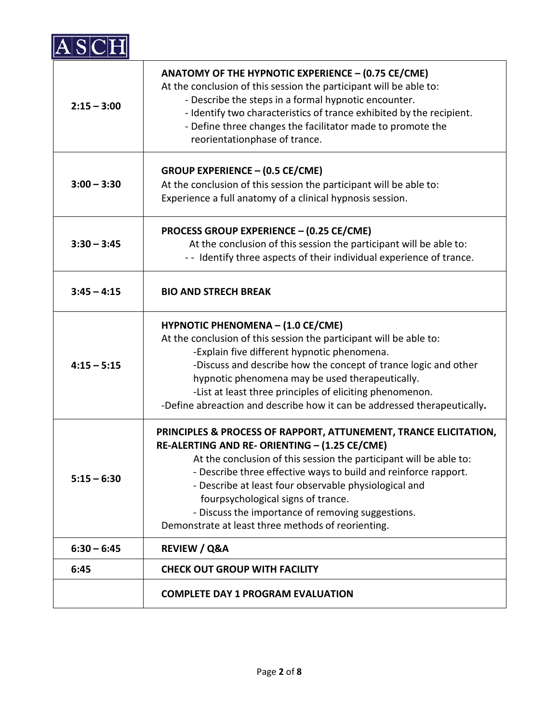

| $2:15 - 3:00$ | ANATOMY OF THE HYPNOTIC EXPERIENCE - (0.75 CE/CME)<br>At the conclusion of this session the participant will be able to:<br>- Describe the steps in a formal hypnotic encounter.<br>- Identify two characteristics of trance exhibited by the recipient.<br>- Define three changes the facilitator made to promote the<br>reorientationphase of trance.                                                                                                              |
|---------------|----------------------------------------------------------------------------------------------------------------------------------------------------------------------------------------------------------------------------------------------------------------------------------------------------------------------------------------------------------------------------------------------------------------------------------------------------------------------|
| $3:00 - 3:30$ | <b>GROUP EXPERIENCE - (0.5 CE/CME)</b><br>At the conclusion of this session the participant will be able to:<br>Experience a full anatomy of a clinical hypnosis session.                                                                                                                                                                                                                                                                                            |
| $3:30 - 3:45$ | <b>PROCESS GROUP EXPERIENCE - (0.25 CE/CME)</b><br>At the conclusion of this session the participant will be able to:<br>- - Identify three aspects of their individual experience of trance.                                                                                                                                                                                                                                                                        |
| $3:45 - 4:15$ | <b>BIO AND STRECH BREAK</b>                                                                                                                                                                                                                                                                                                                                                                                                                                          |
| $4:15 - 5:15$ | <b>HYPNOTIC PHENOMENA - (1.0 CE/CME)</b><br>At the conclusion of this session the participant will be able to:<br>-Explain five different hypnotic phenomena.<br>-Discuss and describe how the concept of trance logic and other<br>hypnotic phenomena may be used therapeutically.<br>-List at least three principles of eliciting phenomenon.<br>-Define abreaction and describe how it can be addressed therapeutically.                                          |
| $5:15 - 6:30$ | PRINCIPLES & PROCESS OF RAPPORT, ATTUNEMENT, TRANCE ELICITATION,<br>RE-ALERTING AND RE- ORIENTING - (1.25 CE/CME)<br>At the conclusion of this session the participant will be able to:<br>- Describe three effective ways to build and reinforce rapport.<br>- Describe at least four observable physiological and<br>fourpsychological signs of trance.<br>- Discuss the importance of removing suggestions.<br>Demonstrate at least three methods of reorienting. |
| $6:30 - 6:45$ | <b>REVIEW / Q&amp;A</b>                                                                                                                                                                                                                                                                                                                                                                                                                                              |
| 6:45          | <b>CHECK OUT GROUP WITH FACILITY</b>                                                                                                                                                                                                                                                                                                                                                                                                                                 |
|               | <b>COMPLETE DAY 1 PROGRAM EVALUATION</b>                                                                                                                                                                                                                                                                                                                                                                                                                             |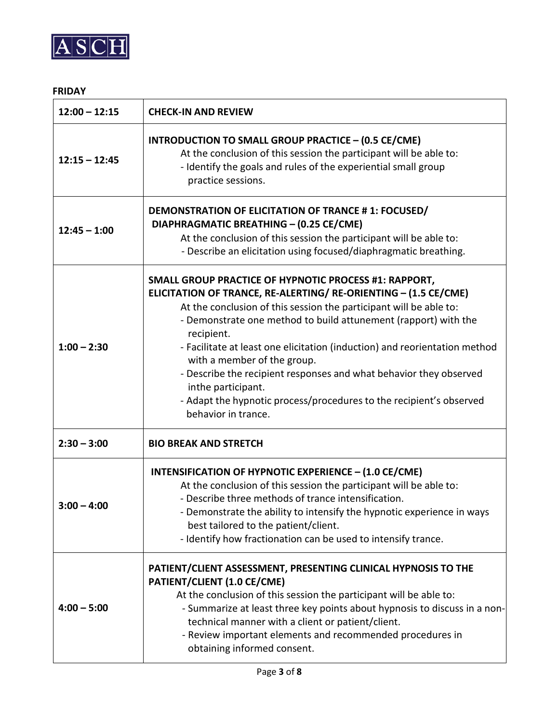

### **FRIDAY**

| $12:00 - 12:15$ | <b>CHECK-IN AND REVIEW</b>                                                                                                                                                                                                                                                                                                                                                                                                                                                                                                                                                             |
|-----------------|----------------------------------------------------------------------------------------------------------------------------------------------------------------------------------------------------------------------------------------------------------------------------------------------------------------------------------------------------------------------------------------------------------------------------------------------------------------------------------------------------------------------------------------------------------------------------------------|
| $12:15 - 12:45$ | INTRODUCTION TO SMALL GROUP PRACTICE - (0.5 CE/CME)<br>At the conclusion of this session the participant will be able to:<br>- Identify the goals and rules of the experiential small group<br>practice sessions.                                                                                                                                                                                                                                                                                                                                                                      |
| $12:45 - 1:00$  | DEMONSTRATION OF ELICITATION OF TRANCE #1: FOCUSED/<br>DIAPHRAGMATIC BREATHING - (0.25 CE/CME)<br>At the conclusion of this session the participant will be able to:<br>- Describe an elicitation using focused/diaphragmatic breathing.                                                                                                                                                                                                                                                                                                                                               |
| $1:00 - 2:30$   | SMALL GROUP PRACTICE OF HYPNOTIC PROCESS #1: RAPPORT,<br>ELICITATION OF TRANCE, RE-ALERTING/ RE-ORIENTING - (1.5 CE/CME)<br>At the conclusion of this session the participant will be able to:<br>- Demonstrate one method to build attunement (rapport) with the<br>recipient.<br>- Facilitate at least one elicitation (induction) and reorientation method<br>with a member of the group.<br>- Describe the recipient responses and what behavior they observed<br>inthe participant.<br>- Adapt the hypnotic process/procedures to the recipient's observed<br>behavior in trance. |
| $2:30 - 3:00$   | <b>BIO BREAK AND STRETCH</b>                                                                                                                                                                                                                                                                                                                                                                                                                                                                                                                                                           |
| $3:00 - 4:00$   | INTENSIFICATION OF HYPNOTIC EXPERIENCE - (1.0 CE/CME)<br>At the conclusion of this session the participant will be able to:<br>- Describe three methods of trance intensification.<br>- Demonstrate the ability to intensify the hypnotic experience in ways<br>best tailored to the patient/client.<br>- Identify how fractionation can be used to intensify trance.                                                                                                                                                                                                                  |
| $4:00 - 5:00$   | PATIENT/CLIENT ASSESSMENT, PRESENTING CLINICAL HYPNOSIS TO THE<br>PATIENT/CLIENT (1.0 CE/CME)<br>At the conclusion of this session the participant will be able to:<br>- Summarize at least three key points about hypnosis to discuss in a non-<br>technical manner with a client or patient/client.<br>- Review important elements and recommended procedures in<br>obtaining informed consent.                                                                                                                                                                                      |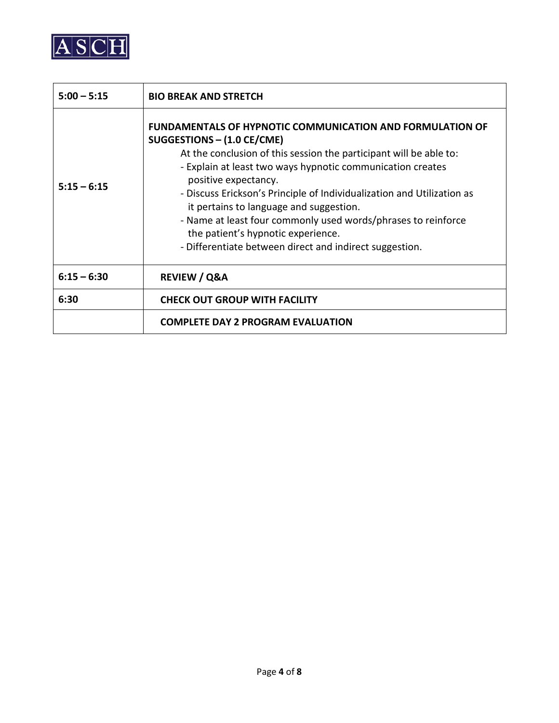

| $5:00 - 5:15$ | <b>BIO BREAK AND STRETCH</b>                                                                                                                                                                                                                                                                                                                                                                                                                                                                                                                      |
|---------------|---------------------------------------------------------------------------------------------------------------------------------------------------------------------------------------------------------------------------------------------------------------------------------------------------------------------------------------------------------------------------------------------------------------------------------------------------------------------------------------------------------------------------------------------------|
| $5:15 - 6:15$ | <b>FUNDAMENTALS OF HYPNOTIC COMMUNICATION AND FORMULATION OF</b><br>SUGGESTIONS - (1.0 CE/CME)<br>At the conclusion of this session the participant will be able to:<br>- Explain at least two ways hypnotic communication creates<br>positive expectancy.<br>- Discuss Erickson's Principle of Individualization and Utilization as<br>it pertains to language and suggestion.<br>- Name at least four commonly used words/phrases to reinforce<br>the patient's hypnotic experience.<br>- Differentiate between direct and indirect suggestion. |
| $6:15 - 6:30$ | <b>REVIEW / Q&amp;A</b>                                                                                                                                                                                                                                                                                                                                                                                                                                                                                                                           |
| 6:30          | <b>CHECK OUT GROUP WITH FACILITY</b>                                                                                                                                                                                                                                                                                                                                                                                                                                                                                                              |
|               | <b>COMPLETE DAY 2 PROGRAM EVALUATION</b>                                                                                                                                                                                                                                                                                                                                                                                                                                                                                                          |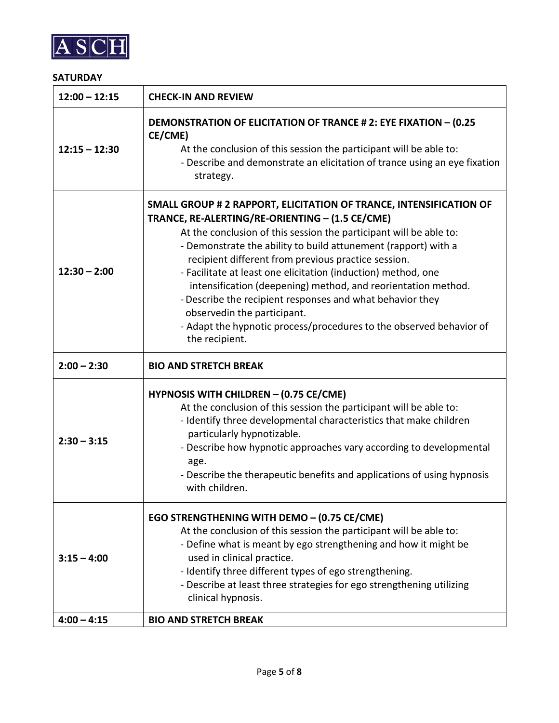

## **SATURDAY**

| $12:00 - 12:15$ | <b>CHECK-IN AND REVIEW</b>                                                                                                                                                                                                                                                                                                                                                                                                                                                                                                                                                                                                                  |
|-----------------|---------------------------------------------------------------------------------------------------------------------------------------------------------------------------------------------------------------------------------------------------------------------------------------------------------------------------------------------------------------------------------------------------------------------------------------------------------------------------------------------------------------------------------------------------------------------------------------------------------------------------------------------|
| $12:15 - 12:30$ | <b>DEMONSTRATION OF ELICITATION OF TRANCE # 2: EYE FIXATION - (0.25</b><br>CE/CME)<br>At the conclusion of this session the participant will be able to:<br>- Describe and demonstrate an elicitation of trance using an eye fixation<br>strategy.                                                                                                                                                                                                                                                                                                                                                                                          |
| $12:30 - 2:00$  | SMALL GROUP # 2 RAPPORT, ELICITATION OF TRANCE, INTENSIFICATION OF<br>TRANCE, RE-ALERTING/RE-ORIENTING - (1.5 CE/CME)<br>At the conclusion of this session the participant will be able to:<br>- Demonstrate the ability to build attunement (rapport) with a<br>recipient different from previous practice session.<br>- Facilitate at least one elicitation (induction) method, one<br>intensification (deepening) method, and reorientation method.<br>- Describe the recipient responses and what behavior they<br>observedin the participant.<br>- Adapt the hypnotic process/procedures to the observed behavior of<br>the recipient. |
| $2:00 - 2:30$   | <b>BIO AND STRETCH BREAK</b>                                                                                                                                                                                                                                                                                                                                                                                                                                                                                                                                                                                                                |
| $2:30 - 3:15$   | <b>HYPNOSIS WITH CHILDREN - (0.75 CE/CME)</b><br>At the conclusion of this session the participant will be able to:<br>- Identify three developmental characteristics that make children<br>particularly hypnotizable.<br>- Describe how hypnotic approaches vary according to developmental<br>age.<br>- Describe the therapeutic benefits and applications of using hypnosis<br>with children.                                                                                                                                                                                                                                            |
| $3:15 - 4:00$   | EGO STRENGTHENING WITH DEMO - (0.75 CE/CME)<br>At the conclusion of this session the participant will be able to:<br>- Define what is meant by ego strengthening and how it might be<br>used in clinical practice.<br>- Identify three different types of ego strengthening.<br>- Describe at least three strategies for ego strengthening utilizing<br>clinical hypnosis.                                                                                                                                                                                                                                                                  |
| $4:00 - 4:15$   | <b>BIO AND STRETCH BREAK</b>                                                                                                                                                                                                                                                                                                                                                                                                                                                                                                                                                                                                                |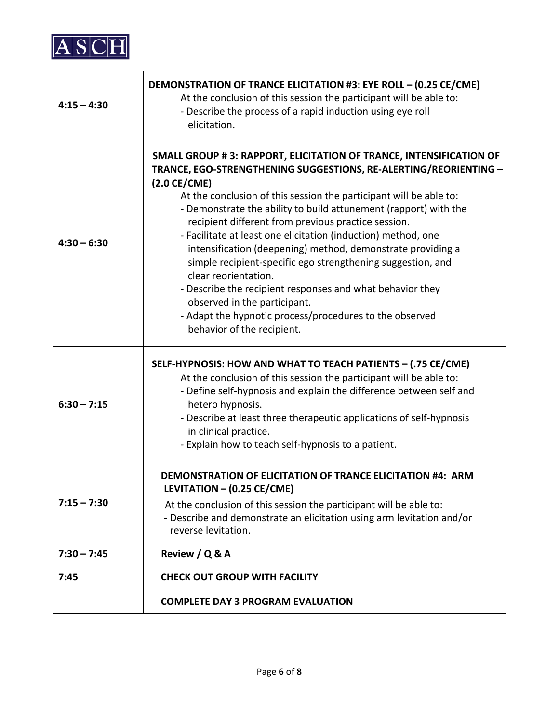

| $4:15 - 4:30$ | DEMONSTRATION OF TRANCE ELICITATION #3: EYE ROLL - (0.25 CE/CME)<br>At the conclusion of this session the participant will be able to:<br>- Describe the process of a rapid induction using eye roll<br>elicitation.                                                                                                                                                                                                                                                                                                                                                                                                                                                                                                                                                            |
|---------------|---------------------------------------------------------------------------------------------------------------------------------------------------------------------------------------------------------------------------------------------------------------------------------------------------------------------------------------------------------------------------------------------------------------------------------------------------------------------------------------------------------------------------------------------------------------------------------------------------------------------------------------------------------------------------------------------------------------------------------------------------------------------------------|
| $4:30 - 6:30$ | SMALL GROUP # 3: RAPPORT, ELICITATION OF TRANCE, INTENSIFICATION OF<br>TRANCE, EGO-STRENGTHENING SUGGESTIONS, RE-ALERTING/REORIENTING -<br>$(2.0 \text{ CE/CME})$<br>At the conclusion of this session the participant will be able to:<br>- Demonstrate the ability to build attunement (rapport) with the<br>recipient different from previous practice session.<br>- Facilitate at least one elicitation (induction) method, one<br>intensification (deepening) method, demonstrate providing a<br>simple recipient-specific ego strengthening suggestion, and<br>clear reorientation.<br>- Describe the recipient responses and what behavior they<br>observed in the participant.<br>- Adapt the hypnotic process/procedures to the observed<br>behavior of the recipient. |
| $6:30 - 7:15$ | SELF-HYPNOSIS: HOW AND WHAT TO TEACH PATIENTS - (.75 CE/CME)<br>At the conclusion of this session the participant will be able to:<br>- Define self-hypnosis and explain the difference between self and<br>hetero hypnosis.<br>- Describe at least three therapeutic applications of self-hypnosis<br>in clinical practice.<br>- Explain how to teach self-hypnosis to a patient.                                                                                                                                                                                                                                                                                                                                                                                              |
| $7:15 - 7:30$ | <b>DEMONSTRATION OF ELICITATION OF TRANCE ELICITATION #4: ARM</b><br>LEVITATION - (0.25 CE/CME)<br>At the conclusion of this session the participant will be able to:<br>- Describe and demonstrate an elicitation using arm levitation and/or<br>reverse levitation.                                                                                                                                                                                                                                                                                                                                                                                                                                                                                                           |
| $7:30 - 7:45$ | Review / Q & A                                                                                                                                                                                                                                                                                                                                                                                                                                                                                                                                                                                                                                                                                                                                                                  |
| 7:45          | <b>CHECK OUT GROUP WITH FACILITY</b>                                                                                                                                                                                                                                                                                                                                                                                                                                                                                                                                                                                                                                                                                                                                            |
|               | <b>COMPLETE DAY 3 PROGRAM EVALUATION</b>                                                                                                                                                                                                                                                                                                                                                                                                                                                                                                                                                                                                                                                                                                                                        |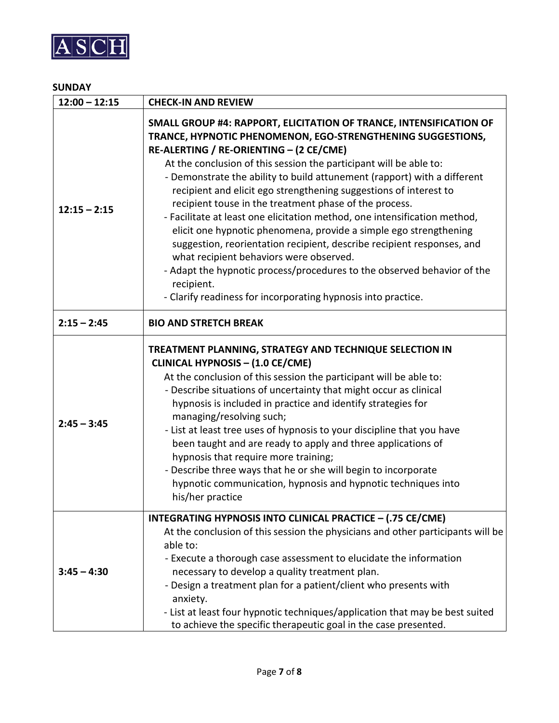

## **SUNDAY**

| $12:00 - 12:15$ | <b>CHECK-IN AND REVIEW</b>                                                                                                                                                                                                                                                                                                                                                                                                                                                                                                                                                                                                                                                                                                                                                                                                                                                                     |
|-----------------|------------------------------------------------------------------------------------------------------------------------------------------------------------------------------------------------------------------------------------------------------------------------------------------------------------------------------------------------------------------------------------------------------------------------------------------------------------------------------------------------------------------------------------------------------------------------------------------------------------------------------------------------------------------------------------------------------------------------------------------------------------------------------------------------------------------------------------------------------------------------------------------------|
| $12:15 - 2:15$  | SMALL GROUP #4: RAPPORT, ELICITATION OF TRANCE, INTENSIFICATION OF<br>TRANCE, HYPNOTIC PHENOMENON, EGO-STRENGTHENING SUGGESTIONS,<br>RE-ALERTING / RE-ORIENTING - (2 CE/CME)<br>At the conclusion of this session the participant will be able to:<br>- Demonstrate the ability to build attunement (rapport) with a different<br>recipient and elicit ego strengthening suggestions of interest to<br>recipient touse in the treatment phase of the process.<br>- Facilitate at least one elicitation method, one intensification method,<br>elicit one hypnotic phenomena, provide a simple ego strengthening<br>suggestion, reorientation recipient, describe recipient responses, and<br>what recipient behaviors were observed.<br>- Adapt the hypnotic process/procedures to the observed behavior of the<br>recipient.<br>- Clarify readiness for incorporating hypnosis into practice. |
| $2:15 - 2:45$   | <b>BIO AND STRETCH BREAK</b>                                                                                                                                                                                                                                                                                                                                                                                                                                                                                                                                                                                                                                                                                                                                                                                                                                                                   |
| $2:45 - 3:45$   | TREATMENT PLANNING, STRATEGY AND TECHNIQUE SELECTION IN<br><b>CLINICAL HYPNOSIS - (1.0 CE/CME)</b><br>At the conclusion of this session the participant will be able to:<br>- Describe situations of uncertainty that might occur as clinical<br>hypnosis is included in practice and identify strategies for<br>managing/resolving such;<br>- List at least tree uses of hypnosis to your discipline that you have<br>been taught and are ready to apply and three applications of<br>hypnosis that require more training;<br>- Describe three ways that he or she will begin to incorporate<br>hypnotic communication, hypnosis and hypnotic techniques into<br>his/her practice                                                                                                                                                                                                             |
| $3:45 - 4:30$   | INTEGRATING HYPNOSIS INTO CLINICAL PRACTICE - (.75 CE/CME)<br>At the conclusion of this session the physicians and other participants will be<br>able to:<br>- Execute a thorough case assessment to elucidate the information<br>necessary to develop a quality treatment plan.<br>- Design a treatment plan for a patient/client who presents with<br>anxiety.<br>- List at least four hypnotic techniques/application that may be best suited<br>to achieve the specific therapeutic goal in the case presented.                                                                                                                                                                                                                                                                                                                                                                            |